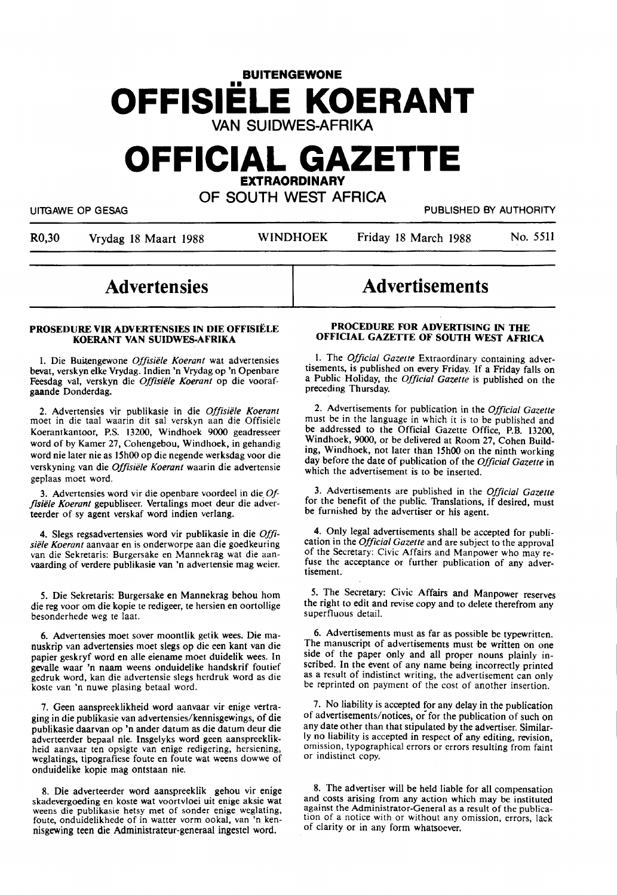# **BUITENGEWONE OFFISIELE KOERANT**  VAN SUIDWES-AFRIKA

# **OFFICIAL GAZETTE EXTRAORDINARY**

OF SOUTH WEST AFRICA

UITGAWE OP GESAG PUBLISHED BY AUTHORITY

R0,30 Vrydag 18 Maart 1988 WINDHOEK Friday 18 March 1988 No. 5511

# **Advertensies**

# **PROSEDURE VIR ADVERTENSIES IN DIE OFFISIËLE KOERANT VAN SUIDWES-AFRIKA**

I. Die Buitengewone Offisiële Koerant wat advertensies bevat, verskyn elke Vrydag. Indien 'n Vrydag op 'n Openbare Feesdag val, verskyn die *Offisiele Koerant* op die voorafgaande Donderdag.

2. Advertensies vir publikasie in die Offisiële Koerant moet in die taal waarin dit sal verskyn aan die Offisiele Koerantkantoor, P.S. 13200, Windhoek 9000 geadresseer word of by Kamer 27, Cohengebou, Windhoek, in gehandig word nie later nie as 15h00 op die negende werksdag voor die verskyning van die *Offisiële Koerant* waarin die advertensie geplaas moet word.

3. Advertensies word vir die openbare voordeel in die. *Offisiele Koerant* gepubliseer. Vertalings moet deur die adverteerder of sy agent verskaf word indien verlang.

4. Slegs regsadvertensies word vir publikasie in die *Offisiele Koerant* aanvaar en is onderworpe aan die goedkeuring van die Sekretaris: Burgersake en Mannekrag wat die aanvaarding of verdere publikasie van 'n advertensie mag weier.

*5.* Die Sekretaris: Burgersake en Mannekrag behou horn die reg voor om die kopie te redigeer, te hersien en oortollige besonderhede weg te laat.

6. Advertensies moet sover moontlik getik wees. Die manuskrip van advertensies moet slegs op die een kant van die papier geskryf word en alle eiename moet duidelik wees. In gevalle waar 'n naam weens onduidelike handskrif foutief gedruk word, kan die advertensie slegs herdruk word as die koste van 'n nuwe plasing betaal word.

7. Geen aanspreeklikheid word aanvaar vir enige vertraging in die publikasie van advertensies/kennisgewings, of die publikasie daarvan op 'n ander datum as die datum deur die adverteerder bepaal nie. lnsgelyks word geen aanspreeklikheid aanvaar ten opsigte van enige redigering, hersiening, weglatings, tipografiese foute en foute wat weens dowwe of onduidelike kopie mag ontstaan nie.

8. Die adverteerder word aanspreeklik gehou vir enige skadevergoeding en koste wat voortvloei uit enige aksie wat weens die publikasie hetsy met of sonder enige weglating, foute, onduidelikhede of in watter vorm ookal, van 'n kennisgewing teen die Administrateur-generaal ingestel word.

# Advertisements

# **PROCEDURE FOR ADVERTISING** IN **THE OFFICIAL GAZETTE OF SOUTH WEST AFRICA**

1. The *Official Gazette* Extraordinary containing advertisements, 1s published on every Friday. If a Friday falls on a Public Holiday, the *Official Gazette* is published on the preceding Thursday.

2. Advertisements for publication in the *Official Gazette* must be in the language in which it is to be published and be addressed to the Official Gazette Office, P.B. 13200, Windhoek, 9000, or be delivered at Room 27, Cohen Building, Windhoek, not later than 15h00 on the ninth working day before the date of publication of the *Official Gazette* in which the advertisement is to be inserted.

3. Advertisements are published in the *Official Gazette*  for the benefit of the public. Translations, if desired, must be furnished by the advertiser or his agent.

4. Only legal advertisements shall be accepted for publication in the *Official Gazette* and are subject to the approval of the Secretary: Civic Affairs and Manpower who may refuse the acceptance or further publication of any advertisement.

*5.* The Secretary: Civic Affairs and Manpower reserves the right to edit and revise copy and to delete therefrom any superfluous detail.

6. Advertisements must as far as possible be typewritten. The manuscript of advertisements must be written on one side of the paper only and all proper nouns plainly inscribed. In the event of any name being incorrectly printed as a result of indistinct writing, the advertisement can only be reprinted on payment of the cost of another insertion.

7. No liability is accepted for any delay in the publication of advertisements/notices, or for the publication of such on any date other than that stipulated by the advertiser. Similarly no liability is accepted in respect of any editing, revision, omission, typographical errors or errors resulting from faint or indistinct copy.

8. The advertiser will be held liable for all compensation and costs arising from any action which may be instituted against the Administrator-General as a result of the publication of a notice with or without any omission, errors, lack of clarity or in any form whatsoever.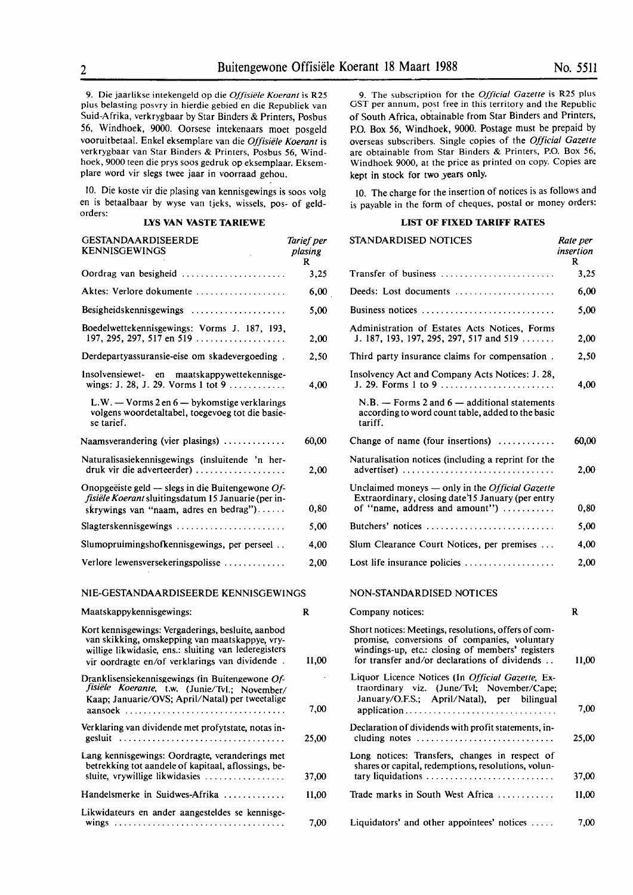9. Die jaarlikse intekengeld op die *Offisiele Koerant* is R25 plus belasting posvry in hierdie gebied en die Republiek van Suid-Afrika, verkrygbaar by Star Binders & Printers, Posbus 56, Windhoek, 9000. Oorsese intekenaars moet posgeld vooruitbetaal. Enke! eksemplare van die *Offisiele Koerant* is verkrygbaar van Star Binders & Printers, Posbus *56,* Windhoek, 9000 teen die prys soos gedruk op eksemplaar. Eksemplare word vir slegs twee jaar in voorraad gehou.

IO. Die koste vir die plasing van kennisgewings is soos volg en is betaalbaar by wyse van tjeks, wissels, pos- of geldorders:

### **LYS VAN VASTE TARIEWE**

| GESTANDAARDISEERDE<br><b>KENNISGEWINGS</b>                                                                                                                                                                     | Tarief per<br>plasing<br>R |
|----------------------------------------------------------------------------------------------------------------------------------------------------------------------------------------------------------------|----------------------------|
|                                                                                                                                                                                                                | 3,25                       |
| Aktes: Verlore dokumente                                                                                                                                                                                       | 6,00                       |
| Besigheidskennisgewings                                                                                                                                                                                        | 5,00                       |
| Boedelwettekennisgewings: Vorms J. 187, 193,<br>197, 295, 297, 517 en 519                                                                                                                                      | 2,00                       |
| Derdepartyassuransie-eise om skadevergoeding.                                                                                                                                                                  | 2,50                       |
| Insolvensiewet- en maatskappywettekennisge-<br>wings: J. 28, J. 29. Vorms 1 tot 9                                                                                                                              | 4,00                       |
| $L.W. - V \text{orms } 2 \text{ en } 6 - \text{bykomstige verklarings}$<br>volgens woordetaltabel, toegevoeg tot die basie-<br>se tarief.                                                                      |                            |
| Naamsverandering (vier plasings)                                                                                                                                                                               | 60,00                      |
| Naturalisasiekennisgewings (insluitende 'n her-<br>druk vir die adverteerder)                                                                                                                                  | 2.00                       |
| Onopgeëiste geld - slegs in die Buitengewone Of-<br>fisiële Koerant sluitingsdatum 15 Januarie (per in-<br>skrywings van "naam, adres en bedrag")                                                              | 0,80                       |
| $Slagterskenn isgewings \dots \dots \dots \dots \dots \dots \dots \dots$                                                                                                                                       | 5,00                       |
| Slumopruimingshofkennisgewings, per perseel                                                                                                                                                                    | 4,00                       |
| Verlore lewensversekeringspolisse                                                                                                                                                                              | 2.00                       |
| NIE-GESTANDAARDISEERDE KENNISGEWINGS                                                                                                                                                                           |                            |
| Maatskappykennisgewings:                                                                                                                                                                                       | R                          |
| Kort kennisgewings: Vergaderings, besluite, aanbod<br>van skikking, omskepping van maatskappye, vry-<br>willige likwidasie, ens.: sluiting van lederegisters<br>vir oordragte en/of verklarings van dividende. | 11.00                      |
| Dranklisensiekennisgewings (in Buitengewone Of-<br>fisiële Koerante, t.w. (Junie/Tvl.; November/<br>Kaap; Januarie/OVS; April/Natal) per tweetalige                                                            | 7,00                       |
| Verklaring van dividende met profytstate, notas in-<br>gesluit                                                                                                                                                 | 25,00                      |
| Lang kennisgewings: Oordragte, veranderings met                                                                                                                                                                |                            |

betrekking tot aandele of kapitaal, aflossings, besluite, vrywillige likwidasies .................. Handelsmerke in Suidwes-Afrika ............. Likwidateurs en ander aangesteldes se kennisgewings ................................... .

37,00 11,00

7,00

9. The subscription for the *Official Gazette* is R25 plus GST per annum, post free in this territory and the Republic of South Africa, obtainable from Star Binders and Printers, P.O. Box 56, Windhoek, 9000. Postage must be prepaid by overseas subscribers. Single copies of the *Official Gazette*  are obtainable from Star Binders & Printers, P.O. Box *56,*  Windhoek 9000, at the price as printed on copy. Copies are kept in stock for two years only.

10. The charge for the insertion of notices is as follows and is payable in the form of cheques, postal or money orders:

# **LIST OF FIXED TARIFF RATES**

| STANDARDISED NOTICES                                                                                                                                                                                      | Rate per<br>insertion<br>R |
|-----------------------------------------------------------------------------------------------------------------------------------------------------------------------------------------------------------|----------------------------|
| Transfer of business                                                                                                                                                                                      | 3,25                       |
| Deeds: Lost documents                                                                                                                                                                                     | 6,00                       |
| Business notices                                                                                                                                                                                          | 5,00                       |
| Administration of Estates Acts Notices, Forms<br>J. 187, 193, 197, 295, 297, 517 and 519                                                                                                                  | 2,00                       |
| Third party insurance claims for compensation.                                                                                                                                                            | 2,50                       |
| Insolvency Act and Company Acts Notices: J. 28,<br>J. 29. Forms 1 to 9                                                                                                                                    | 4,00                       |
| $N.B. -$ Forms 2 and 6 - additional statements<br>according to word count table, added to the basic<br>tariff.                                                                                            |                            |
| Change of name (four insertions)                                                                                                                                                                          | 60,00                      |
| Naturalisation notices (including a reprint for the<br>advertiser)                                                                                                                                        | 2,00                       |
| Unclaimed moneys - only in the Official Gazette<br>Extraordinary, closing date 15 January (per entry<br>of "name, address and amount")                                                                    | 0.80                       |
| Butchers' notices                                                                                                                                                                                         | 5,00                       |
| Slum Clearance Court Notices, per premises                                                                                                                                                                | 4,00                       |
| Lost life insurance policies $\dots\dots\dots\dots\dots\dots$                                                                                                                                             | 2,00                       |
| NON-STANDARDISED NOTICES                                                                                                                                                                                  |                            |
| Company notices:                                                                                                                                                                                          | R                          |
| Short notices: Meetings, resolutions, offers of com-<br>promise, conversions of companies, voluntary<br>windings-up, etc.: closing of members' registers<br>for transfer and/or declarations of dividends | 11,00                      |
| Liquor Licence Notices (In Official Gazette, Ex-<br>traordinary viz. (June/Tvl; November/Cape;<br>January/O.F.S.; April/Natal), per bilingual<br>application                                              | 7,00                       |
| Declaration of dividends with profit statements, in-                                                                                                                                                      | 25,00                      |
| Long notices: Transfers, changes in respect of<br>shares or capital, redemptions, resolutions, volun-<br>tary liquidations                                                                                | 37,00                      |
| Trade marks in South West Africa                                                                                                                                                                          | 11,00                      |
| Liquidators' and other appointees' notices $\dots$                                                                                                                                                        | 7,00                       |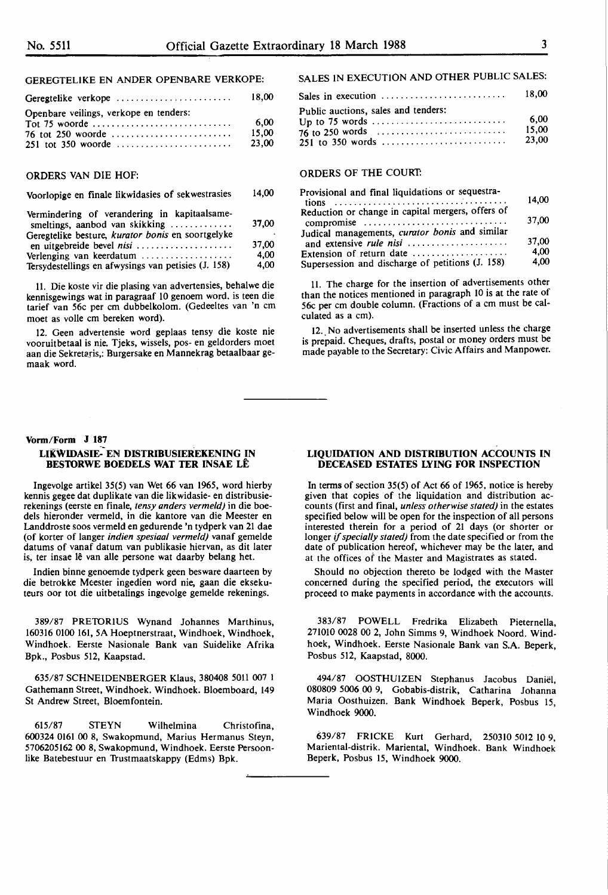# GEREGTELIKE EN ANDER OPENBARE VERKOPE:

| Geregtelike verkope                    | 18.00 |
|----------------------------------------|-------|
| Openbare veilings, verkope en tenders: |       |
|                                        | 6.00  |
|                                        | 15.00 |
|                                        | 23.00 |

# **ORDERS VAN** DIE HOF:

#### Voorlopige en finale likwidasies of sekwestrasies 14,00

| Vermindering of verandering in kapitaalsame-<br>smeltings, aanbod van skikking | 37,00 |
|--------------------------------------------------------------------------------|-------|
| Geregtelike besture, kurator bonis en soortgelyke                              |       |
| en uitgebreide bevel nisi                                                      | 37.00 |
| Verlenging van keerdatum                                                       | 4.00  |
| Tersydestellings en afwysings van petisies (J. 158)                            | 4,00  |

11. Die koste vir die plasing van advertensies, behalwe die kennisgewings wat in paragraaf 10 genoem word. is teen die tarief van 56c per cm dubbelkolom. (Gedeeltes van 'n cm moet as volle cm bereken word).

12. Geen advertensie word geplaas tensy die koste nie vooruitbetaal is nie. Tjeks, wissels, pos- en geldorders moet aan die Sekretaris,: Burgersake en Mannekrag betaalbaar gemaak word.

# SALES IN EXECUTION AND OTHER PUBLIC SALES:

| Sales in execution $\ldots \ldots \ldots \ldots \ldots \ldots \ldots$ | 18.00 |
|-----------------------------------------------------------------------|-------|
| Public auctions, sales and tenders:                                   |       |
|                                                                       | 6.00  |
|                                                                       | 15.00 |
| 251 to 350 words                                                      | 23.00 |

# **ORDERS** OF THE COURT:

| Provisional and final liquidations or sequestra-  |       |
|---------------------------------------------------|-------|
|                                                   | 14.00 |
| Reduction or change in capital mergers, offers of |       |
| compromise                                        | 37,00 |
| Judical managements, curator bonis and similar    |       |
| and extensive rule nisi                           | 37,00 |
| Extension of return date                          | 4.00  |
| Supersession and discharge of petitions (J. 158)  | 4,00  |

11. The charge for the insertion of advertisements other than the notices mentioned in paragraph 10 is at the rate of 56c per cm double column. (Fractions of a cm must be calculated as a cm).

12. No advertisements shall be inserted unless the charge is prepaid. Cheques, drafts, postal or money orders must be made payable to the Secretary: Civic Affairs and Manpower.

#### **Vorm/Form J 187**

### **LIKWIDASIE:-EN DISTRIBUSIEREKENING IN BESTORWE BOEDELS WAT TER INSAE LE**

lngevolge artikel 35(5) van Wet 66 van 1965, word hierby kennis gegee dat duplikate van die likwidasie- en distribusierekenings (eerste en finale, *tensy anders vermeld)* in die boedels hieronder vermeld, in die kantore van die Meester en Landdroste soos vermeld en gedurende 'n tydperk van 21 dae (of korter of langer *indien spesiaal vermeld)* vanaf gemelde datums of vanaf datum van publikasie hiervan, as dit later is, ter insae lê van alle persone wat daarby belang het.

Indien binne genoemde tydperk geen besware daarteen by die betrokke Meester ingedien word nie, gaan die eksekuteurs oor tot die uitbetalings ingevolge gemelde rekenings.

389/87 PRETORIUS Wynand Johannes Marthinus, 160316 0100 161, SA Hoeptnerstraat, Windhoek, Windhoek, Windhoek. Eerste Nasionale Bank van Suidelike Afrika Bpk., Posbus 512, Kaapstad.

635/87 SCHNEIDENBERGER Klaus, 380408 5011 007 I Gathemann Street, Windhoek. Windhoek. Bloemboard, 149 St Andrew Street, Bloemfontein.

615/87 STEYN Wilhelmina Christofina, 600324 0161 00 8, Swakopmund, Marius Hermanus Steyn, 5706205162 00 8, Swakopmund, Windhoek. Eerste Persoonlike Batebestuur en Trustmaatskappy (Edms) Bpk.

# **LIQUIDATION AND DISTRIBUTION ACCOUNTS IN DECEASED ESTATES LYING FOR INSPECTION**

In terms of section 35(5) of Act 66 of 1965, notice is hereby given that copies of the liquidation and distribution accounts (first and final, *unless otherwise stated)* in the estates specified below will be open for the inspection of all persons interested therein for a period of 21 days (or shorter or longer if *specially stated)* from the date specified or from the date of publication hereof, whichever may be the later, and at the offices of the Master and Magistrates as stated.

Should no objection thereto be lodged with the Master concerned during the specified period, the executors will proceed to make payments in accordance with the accounts.

383/87 POWELL Fredrika Elizabeth Pieternella, 271010 0028 00 2, John Simms 9, Windhoek Noord. Windhoek, Windhoek. Eerste Nasionale Bank van S.A. Beperk, Posbus 512, Kaapstad, 8000.

494/87 OOSTHUIZEN Stephanus Jacobus Daniel, 080809 5006\_00 9, Gobabis-distrik, Catharina Johanna Maria Oosthuizen. Bank Windhoek Beperk, Posbus 15, Windhoek 9000.

639/87 FRICKE Kurt Gerhard, 250310 5012 10 9, Mariental-distrik. Mariental, Windhoek. Bank Windhoek Beperk, Posbus 15, Windhoek 9000.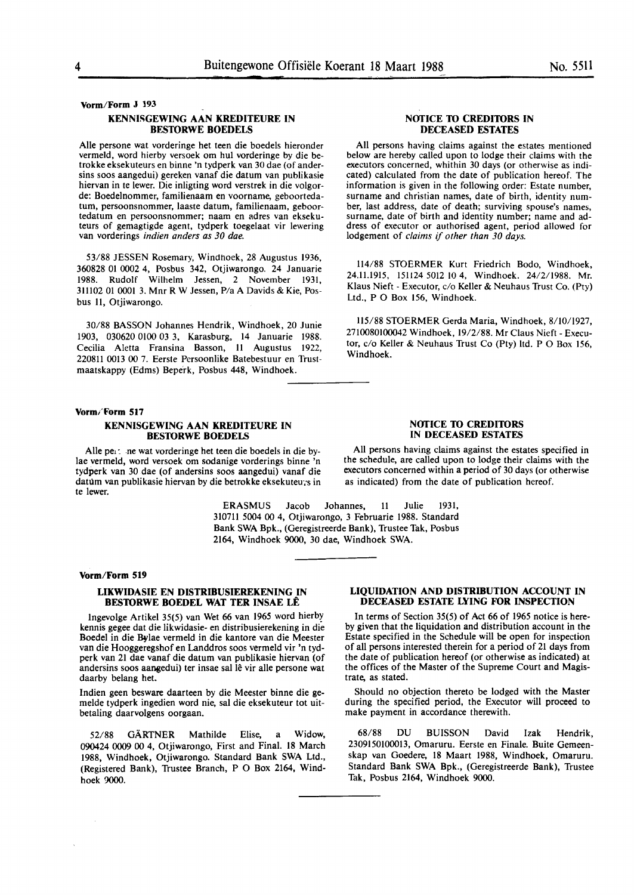#### **Vorm/Form J** 193

## **KENNISGEWING AAN KREDITEURE IN BESTORWE BOEDELS**

Aile persone wat vorderinge bet teen die boedels hieronder vermeld, word hierby versoek om hul vorderinge by die betrokke eksekuteurs en binne 'n tydperk van 30 dae ( of andersins soos aangedui) gereken vanaf die datum van publikasie hiervan in te lewer. Die inligting word verstrek in die volgorde: Boedelnommer, familienaam en voorname, geboortedatum, persoonsnommer, Iaaste datum, familienaam, geboortedatum en persoonsnommer; naam en adres van eksekuteurs of gemagtigde agent, tydperk toegelaat vir lewering van vorderings *indien anders as 30 dae.* 

53/88 JESSEN Rosemary, Windhoek, 28 Augustus 1936, **360828** 01 0002 4, Posbus 342, Otjiwarongo. 24 Januarie 1988. Rudolf Wilhelm Jessen, 2 November 1931, 311102 01 0001 3. Mnr R W Jessen, P/a A Davids & Kie, Posbus 11. Otiiwarongo.

30/88 HASSON Johannes Hendrik, Windhoek, 20 Junie 1903, 030620 0100 03 3, Karasburg, 14 Januarie 1988. Cecilia Aletta Fransina Basson, 11 Augustus 1922, 220811 0013 00 7. Eerste Persoonlike Batebestuur en Trustmaatskappy (Edms) Beperk, Posbus 448, Windhoek.

#### **Vorm/Form** 517

# **KENNISGEWING AAN KREDITEURE IN BESTORWE BOEDELS**

Aile pe,: .ne wat vorderinge bet teen die boedels in die by-Jae vermeld, word versoek om sodanige vorderings binne 'n tydperk van 30 dae (of andersins soos aangedui) vanaf die datum van publikasie hiervan by die betrokke eksekuteu;s in te lewer.

> ERASMUS Jacob Johannes, II Julie 1931, 310711 5004 00 4, Otjiwarongo, 3 Februarie 1988. Standard **Bank SWA** Bpk., (Geregistreerde **Bank),** Trustee Tak, Posbus **2164,** Windhoek 9000, 30 dae, **Windhoek** SWA.

#### **Vorm/Form 519**

 $\bar{\mathcal{A}}$ 

# **LIKWIDASIE EN DISTRIBUSIEREKENING IN BESTORWE BOEDEL WAT TER INSAE LÊ**

lngevolge Artikel 35(5) van Wet 66 van 1965 word hierby kennis gegee dat die likwidasie- en distribusierekening in die Boedel in die Bylae vermeld in die kantore van die Meester van die Hooggeregshof en Landdros soos vermeld vir 'n tydperk van 21 dae vanaf die datum van publikasie hiervan (of andersins soos aangedui) ter insae sal lê vir alle persone wat daarby belang bet.

Indien geen besware daarteen by die Meester binne die gemelde tydperk ingedien word nie, sal die eksekuteur tot uitbetaling daarvolgens oorgaan.

52/88 GARTNER Mathilde Elise, a Widow, 090424 0009 00 4, Otjiwarongo, First and Final. 18 March 1988, Windhoek, Otjiwarongo. Standard Bank SWA Ltd., (Registered Bank), Trustee Branch, P O Box 2164, Windhoek 9000.

# **NOTICE TO CREDITORS IN DECEASED ESTATES**

**All** persons having claims against the estates mentioned below are hereby called upon to lodge their claims with the executors concerned, whithin 30 days (or otherwise as indicated) calculated from the date of publication hereof. The information is given in the following order: Estate number, surname and christian names, date of birth, identity number, last address, date of death; surviving spouse's names, surname, date of birth and identity number; name and address of executor or authorised agent, period allowed for lodgement of *claims* if *other than 30 days.* 

**114/88** STOERMER Kurt Friedrich Bodo, Windhoek, 24.11.1915, 151124 5012 10 4, Windhoek. 24/2/1988. Mr. Klaus Nieft - Executor, c/o Keller & Neuhaus Trust Co. (Pty) Ltd., PO Box 156, Windhoek.

**115/88** STOERMER Gerda **Maria,** Windhoek, 8/10/1927, 2710080100042 Windhoek, 19/2/88. Mr Claus Nieft - Executor, c/o Keller & Neuhaus Trust Co (Pty) ltd. P O Box 156, Windhoek.

# NOTICE 10 **CREDI10RS**  IN DECEASED **ESTATES**

**All** persons having claims against the estates specified in the schedule, are called upon to lodge their claims with the executors concerned within a period of 30 days (or otherwise as indicated) from the date of publication hereof.

**LIQUIDATION AND DISTRIBUTION ACCOUNT IN DECEASED ESTATE LYING FOR INSPECTION** 

In terms of Section 35(5) of Act 66 of 1965 notice is hereby given that the liquidation and distribution account in the Estate specified in the Schedule will be open for inspection of all persons interested therein for a period of 21 days from the date of publication hereof (or otherwise as indicated) at the offices of the Master of the Supreme Court and Magistrate, as stated.

Should no objection thereto be lodged with the Master during the specified period, the Executor will proceed to make payment in accordance therewith.

68/88 DU BUISSON David Izak Hendrik, 2309150100013, Omaruru. Eerste en Finale. Buite Gemeenskap van Goedere, 18 Maart 1988, Windhoek, Omaruru. Standard Bank SWA Bpk., (Geregistreerde Bank), Trustee Tak, Posbus 2164, Windhoek 9000.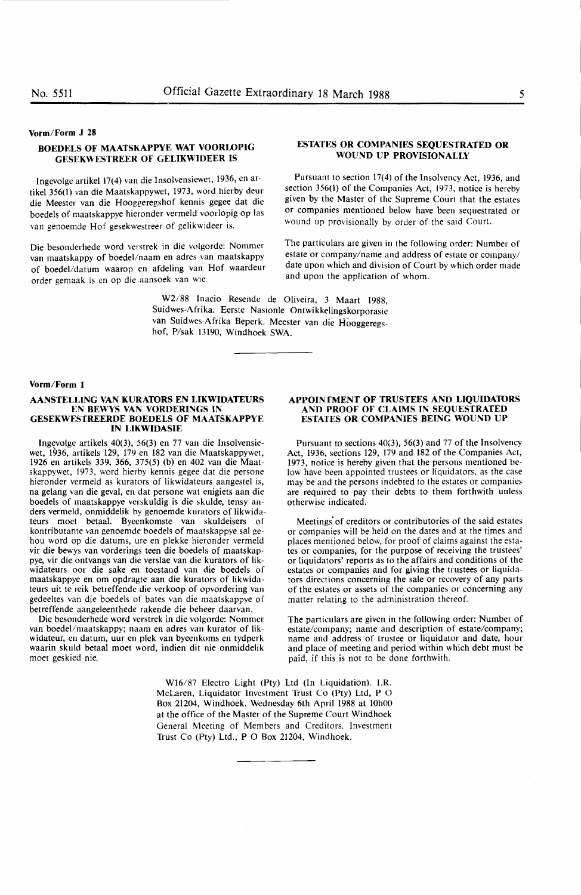# Vorm/Form J 28

# **BOEDELS OF MAATSKAPPYE WAT VOORLOPIG GESEKWESTREER OF GELIKWIDEER IS**

lngevolge artikel 17(4) van die Insolvensiewet, 1936, en artikel 356(1) van die Maatskappywet, 1973, word hierby deur die Meester van die Hooggeregshof kennis gegee dat die boedels of maatskappye hieronder vermeld voorlopig op las van genoemde Hof gesekwestreer of gelikwideer is.

Die besonderhede word verstrek in die volgorde: Nommer van maatskappy of boedel/naam en adres van maatskappy of boedel/datum waarop en afdeling van Hof waardeur order gemaak is en op die aansoek van wie.

# **ESTATES OR COMPANIES SEQUESTRATED OR WOUND UP PROVISIONALLY**

Pursuant to section 17(4) of the Insolvency Act, 1936, and section 356(1) of the Companies Act, 1973, notice is hereby given by the Master of the Supreme Court that the estates or companies mentioned below have been sequestrated or wound up provisionally by order of the said Court.

The particulars are given in the following order: Number of estate or company/name and address of estate or company/ date upon which and division of Court by which order made and upon the application of whom.

W2/88 Inacio Resende de Oliveira, 3 Maart 1988, Suidwes-Afrika. Eerste Nasionle Ontwikkelingskorporasie van Suidwes-Afrika Beperk. Meester van die Hooggeregshof, P/sak 13190, Windhoek SWA.

#### **Vorm/Form 1**

#### **AANSTELLING VAN KURA10RS EN LIKWIDATEURS EN BEWYS VAN VORDERINGS IN GESEKWESTREERDE BOEDELS OF MAATSKAPPYE IN LIKWIDASIE**

Ingevolge artikels 40(3), 56(3) en 77 van die Insolvensiewet, 1936, artikels 129, 179 en 182 van die Maatskappywet, 1926 en artikels 339, 366, 375(5) (b) en 402 van die Maatskappywet, 1973, word hierby kennis gegee dat die persone hieronder vermeld as kurators of Iikwidateurs aangestel is, na gelang van die geval, en dat persone wat enigiets aan die boedels of maatskappye verskuldig is die skulde, tensy anders vermeld, onmiddelik by genoemde kurators of likwidateurs moet betaal. Byeenkomste van skuldeisers of kontributante van genoemde boedels of maatskappye sal gehou word op die datums, ure en plekke hieronder vermeld vir die bewys van vorderings teen die boedels of maatskappye, vir die ontvangs van die verslae van die kurators of likwidateurs oor die sake en toestand van die boedels of maatskappye en om opdragte aan die kurators of likwidateurs uit te reik betreffende die verkoop of opvordering van gedeeltes van die boedels of bates van die maatskappye of betreffende aangeleenthede rakende die beheer daarvan.

Die besonderhede word verstrek in die volgorde: Nommer van boedel/maatskappy; naam en adres van kurator of likwidateur, en datum, uur en plek van byeenkoms en tydperk waarin skuld betaal moet word, indien dit nie onmiddelik moet geskied nie.

# **APPOINTMENT OF TRUSTEES AND LIQUIDATORS AND PROOF OF CLAIMS IN SEQUESTRATED ESTATES OR COMPANIES BEING WOUND UP**

Pursuant to sections 40{3), 56(3) and 77 of the Insolvency Act, 1936, sections 129, 179 and 182 of the Companies Act, 1973, notice is hereby given that the persons mentioned below have been appointed trustees or liquidators, as the case may be and the persons indebted to the estates or companies are required to pay their debts to them forthwith unless otherwise indicated.

Meetings of creditors or contributories of the said estates or companies will be held on the dates and at the times and places mentioned below, for proof of claims against the estates or companies, for the purpose of receiving the trustees' or liquidators' reports as to the affairs and conditions of the estates or companies and for giving the trustees or liquidators directions concerning the sale or recovery of any parts of the estates or assets of the companies or concerning any matter relating to the administration thereof.

The particulars are given in the following order: Number of estate/company; name and description of estate/company; name and address of trustee or liquidator and date, hour and place of meeting and period within which debt must be paid, if this is not to be done forthwith,

W16/87 Electro Light (Pty) Ltd (In Liquidation). I.R. McLaren, Liquidator Investment Trust Co (Pty) Ltd, P 0 Box 21204, Windhoek. Wednesday 6th April 1988 at 10h00 at the office of the Master of the Supreme Court Windhoek General Meeting of Members and Creditors. Investment Trust Co (Pty) Ltd., P O Box 21204, Windhoek.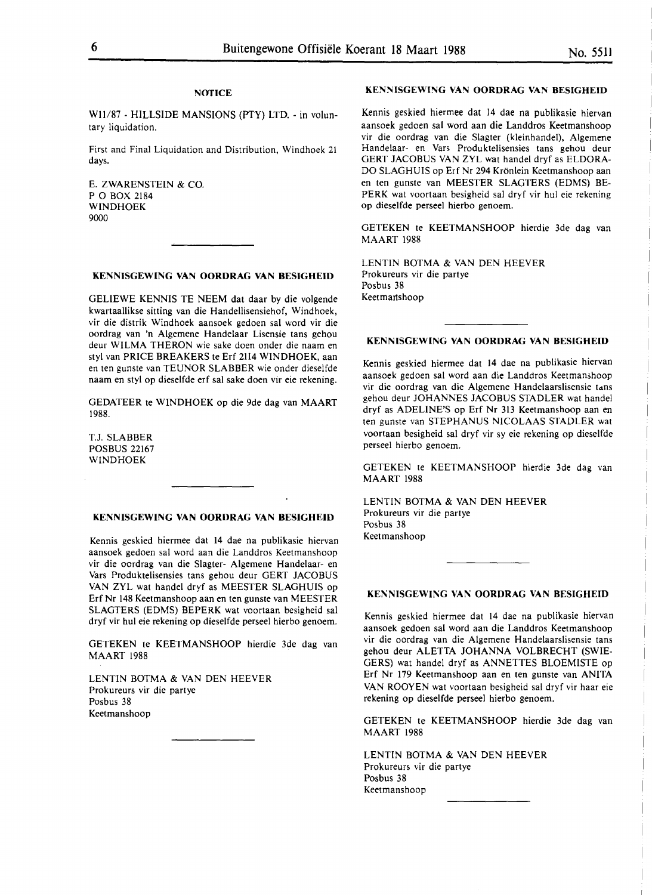# **NOTICE**

W11/87 - HILLSIDE MANSIONS (PTY) LTD. - in voluntary liquidation.

First and Final Liquidation and Distribution, Windhoek 21 days.

E. ZWARENSTEIN & CO. PO BOX 2184 WINDHOEK 9000

#### **KENNISGEWING VAN OORDRAG VAN BESIGHEID**

GELIEWE KENNIS TE NEEM dat daar by die volgende kwartaallikse sitting van die Handellisensiehof, Windhoek, vir die distrik Windhoek aansoek gedoen sal word vir die oordrag van 'n Algemene Handelaar Lisensie tans gehou deur WILMA THERON wie sake doen onder die naam en sty! van PRICE BREAKERS te Erf 2114 WINDHOEK, aan en ten gunste van TEUNOR SLABBER wie onder dieselfde naam en sty! op dieselfde erf sal sake doen vir eie rekening.

GEDATEER te WINDHOEK op die 9de dag van MAART 1988.

T.J. SLABBER POSBUS 22167 WINDHOEK

# **KENNISGEWING VAN OORDRAG VAN BESIGHEID**

Kennis geskied hiermee dat 14 dae na publikasie hiervan aansoek gedoen sal word aan die Landdros Keetmanshoop vir die oordrag van die Slagter- Algemene Handelaar- en Vars Produktelisensies tans gehou deur GERT JACOBUS VAN ZYL wat handel dryf as MEESTER SLAGHUIS op Erf Nr 148 Keetmanshoop aan en ten gunste van MEESTER SLAGTERS (EDMS) BEPERK wat voortaan besigheid sal dryf vir hul eie rekening op dieselfde perseel hierbo genoem.

GETEKEN te KEETMANSHOOP hierdie 3de dag van MAART 1988

LENTIN BOTMA & VAN DEN HEEVER Prokureurs vir die partye Posbus 38 Keetmanshoop

# **KENNISGEWING VAN OORDRAG VAN BESIGHEID**

Kennis geskied hiermee dat 14 dae na publikasie hiervan aansoek gedoen sal word aan die Landdros Keetmanshoop vir die oordrag van die Slagter (kleinhandel), Algemene Handelaar- en Vars Produktelisensies tans gehou deur GERT JACOBUS VAN ZYL wat handel dryf as ELDORA-DO SLAGHUIS op Erf Nr 294 Krönlein Keetmanshoop aan en ten gunste van MEESTER SLAGTERS (EDMS) BE-PERK wat voortaan besigheid sal dryf vir hul eie rekening op dieselfde perseel hierbo genoem.

GETEKEN te KEETMANSHOOP hierdie 3de dag van MAART 1988

LENTIN BOTMA & VAN DEN HEEVER Prokureurs vir die partye Posbus 38 Keetmantshoop

### **KENNISGEWING VAN OORDRAG VAN BESIGHEID**

Kennis geskied hiermee dat 14 dae na publikasie hiervan aansoek gedoen sal word aan die Landdros Keetmanshoop vir die oordrag van die Algemene Handelaarslisensie tans gehou deur JOHANNES JACOBUS STADLER wat handel dryf as ADELINE'S op Erf Nr 313 Keetmanshoop aan en ten gunste van STEPHANUS NICOLAAS STADLER wat voortaan besigheid sal dryf vir sy eie rekening op dieselfde perseel hierbo genoem.

GETEKEN te KEETMANSHOOP hierdie 3de dag van MAART 1988

LENTIN BOTMA & VAN DEN HEEVER Prokureurs vir die partye Posbus 38 Keetmanshoop

# **KENNISGEWING VAN OORDRAG VAN BESIGHEID**

Kennis geskied hiermee dat 14 dae na publikasie hiervan aansoek gedoen sal word aan die Landdros Keetmanshoop vir die oordrag van die Algemene Handelaarslisensie tans gehou deur ALETTA JOHANNA VOLBRECHT (SWIE-GERS) wat handel dryf as ANNETTES BLOEMISTE op Erf Nr 179 Keetmanshoop aan en ten gunste van ANITA VAN ROOYEN wat voortaan besigheid sal dryf vir haar eie rekening op dieselfde perseel hierbo genoem.

GETEKEN te KEETMANSHOOP hierdie 3de dag van MAART 1988

LENTIN BOTMA & VAN DEN HEEVER Prokureurs vir die partye Posbus 38 Keetmanshoop